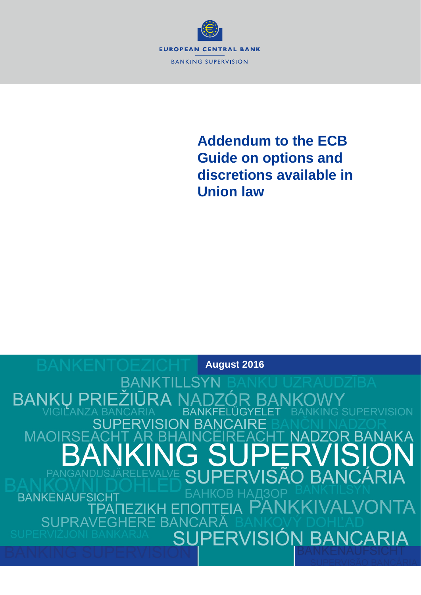

## **Addendum to the ECB Guide on options and discretions available in Union law**

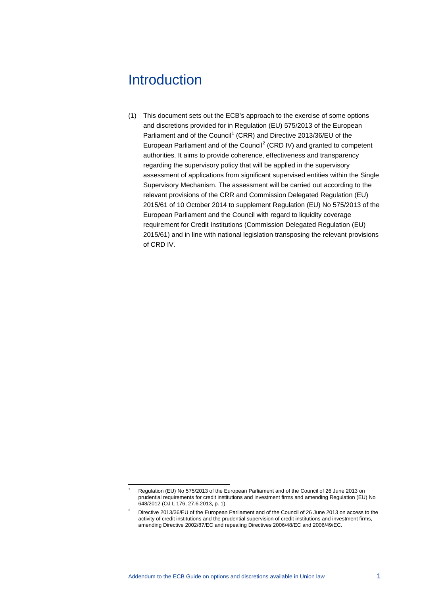## **Introduction**

(1) This document sets out the ECB's approach to the exercise of some options and discretions provided for in Regulation (EU) 575/2013 of the European Parliament and of the Council<sup>[1](#page-1-0)</sup> (CRR) and Directive 2013/36/EU of the European Parliament and of the Council<sup>[2](#page-1-1)</sup> (CRD IV) and granted to competent authorities. It aims to provide coherence, effectiveness and transparency regarding the supervisory policy that will be applied in the supervisory assessment of applications from significant supervised entities within the Single Supervisory Mechanism. The assessment will be carried out according to the relevant provisions of the CRR and Commission Delegated Regulation (EU) 2015/61 of 10 October 2014 to supplement Regulation (EU) No 575/2013 of the European Parliament and the Council with regard to liquidity coverage requirement for Credit Institutions (Commission Delegated Regulation (EU) 2015/61) and in line with national legislation transposing the relevant provisions of CRD IV.

 <sup>1</sup> Regulation (EU) No 575/2013 of the European Parliament and of the Council of 26 June 2013 on prudential requirements for credit institutions and investment firms and amending Regulation (EU) No 648/2012 (OJ L 176, 27.6.2013, p. 1).

<span id="page-1-1"></span><span id="page-1-0"></span><sup>&</sup>lt;sup>2</sup> Directive 2013/36/EU of the European Parliament and of the Council of 26 June 2013 on access to the activity of credit institutions and the prudential supervision of credit institutions and investment firms, amending Directive 2002/87/EC and repealing Directives 2006/48/EC and 2006/49/EC.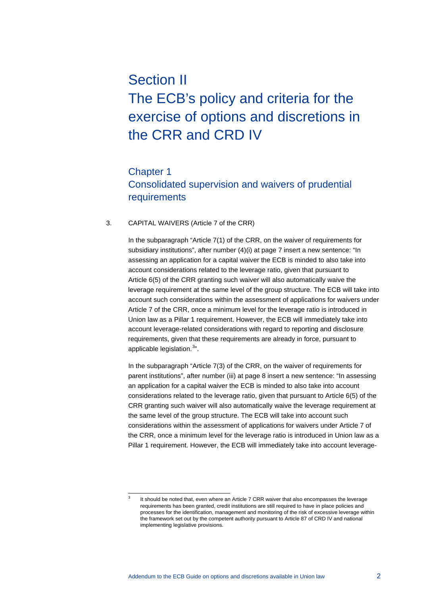# Section II The ECB's policy and criteria for the exercise of options and discretions in the CRR and CRD IV

### Chapter 1 Consolidated supervision and waivers of prudential requirements

#### 3. CAPITAL WAIVERS (Article 7 of the CRR)

In the subparagraph "Article 7(1) of the CRR, on the waiver of requirements for subsidiary institutions", after number (4)(i) at page 7 insert a new sentence: "In assessing an application for a capital waiver the ECB is minded to also take into account considerations related to the leverage ratio, given that pursuant to Article 6(5) of the CRR granting such waiver will also automatically waive the leverage requirement at the same level of the group structure. The ECB will take into account such considerations within the assessment of applications for waivers under Article 7 of the CRR, once a minimum level for the leverage ratio is introduced in Union law as a Pillar 1 requirement. However, the ECB will immediately take into account leverage-related considerations with regard to reporting and disclosure requirements, given that these requirements are already in force, pursuant to applicable legislation.<sup>[3](#page-2-0)</sup>".

In the subparagraph "Article 7(3) of the CRR, on the waiver of requirements for parent institutions", after number (iii) at page 8 insert a new sentence: "In assessing an application for a capital waiver the ECB is minded to also take into account considerations related to the leverage ratio, given that pursuant to Article 6(5) of the CRR granting such waiver will also automatically waive the leverage requirement at the same level of the group structure. The ECB will take into account such considerations within the assessment of applications for waivers under Article 7 of the CRR, once a minimum level for the leverage ratio is introduced in Union law as a Pillar 1 requirement. However, the ECB will immediately take into account leverage-

<span id="page-2-0"></span>It should be noted that, even where an Article 7 CRR waiver that also encompasses the leverage requirements has been granted, credit institutions are still required to have in place policies and processes for the identification, management and monitoring of the risk of excessive leverage within the framework set out by the competent authority pursuant to Article 87 of CRD IV and national implementing legislative provisions.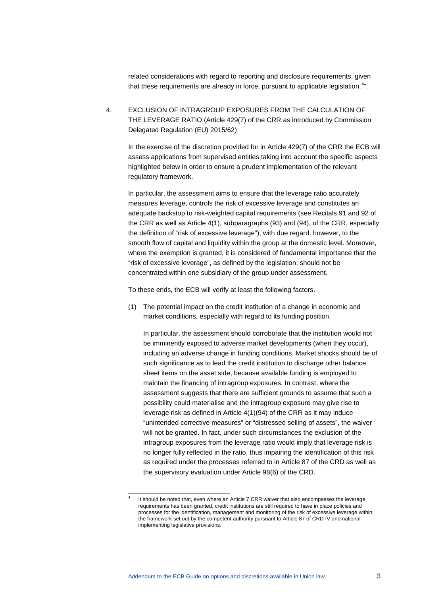related considerations with regard to reporting and disclosure requirements, given that these requirements are already in force, pursuant to applicable legislation.<sup>[4](#page-3-0)</sup>".

4. EXCLUSION OF INTRAGROUP EXPOSURES FROM THE CALCULATION OF THE LEVERAGE RATIO (Article 429(7) of the CRR as introduced by Commission Delegated Regulation (EU) 2015/62)

In the exercise of the discretion provided for in Article 429(7) of the CRR the ECB will assess applications from supervised entities taking into account the specific aspects highlighted below in order to ensure a prudent implementation of the relevant regulatory framework.

In particular, the assessment aims to ensure that the leverage ratio accurately measures leverage, controls the risk of excessive leverage and constitutes an adequate backstop to risk-weighted capital requirements (see Recitals 91 and 92 of the CRR as well as Article 4(1), subparagraphs (93) and (94), of the CRR, especially the definition of "risk of excessive leverage"), with due regard, however, to the smooth flow of capital and liquidity within the group at the domestic level. Moreover, where the exemption is granted, it is considered of fundamental importance that the "risk of excessive leverage", as defined by the legislation, should not be concentrated within one subsidiary of the group under assessment.

To these ends, the ECB will verify at least the following factors.

(1) The potential impact on the credit institution of a change in economic and market conditions, especially with regard to its funding position.

In particular, the assessment should corroborate that the institution would not be imminently exposed to adverse market developments (when they occur), including an adverse change in funding conditions. Market shocks should be of such significance as to lead the credit institution to discharge other balance sheet items on the asset side, because available funding is employed to maintain the financing of intragroup exposures. In contrast, where the assessment suggests that there are sufficient grounds to assume that such a possibility could materialise and the intragroup exposure may give rise to leverage risk as defined in Article 4(1)(94) of the CRR as it may induce "unintended corrective measures" or "distressed selling of assets", the waiver will not be granted. In fact, under such circumstances the exclusion of the intragroup exposures from the leverage ratio would imply that leverage risk is no longer fully reflected in the ratio, thus impairing the identification of this risk as required under the processes referred to in Article 87 of the CRD as well as the supervisory evaluation under Article 98(6) of the CRD.

<span id="page-3-0"></span>It should be noted that, even where an Article 7 CRR waiver that also encompasses the leverage requirements has been granted, credit institutions are still required to have in place policies and processes for the identification, management and monitoring of the risk of excessive leverage within the framework set out by the competent authority pursuant to Article 87 of CRD IV and national implementing legislative provisions.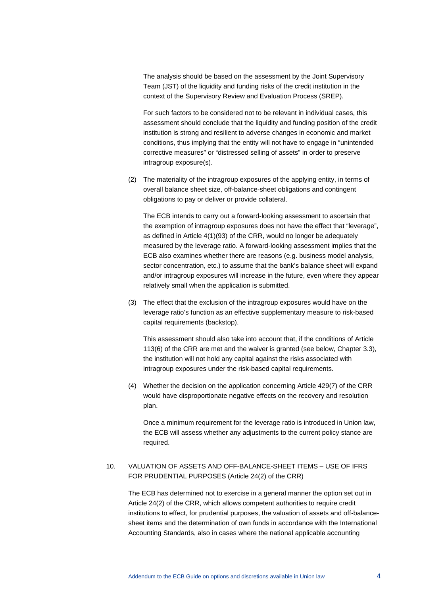The analysis should be based on the assessment by the Joint Supervisory Team (JST) of the liquidity and funding risks of the credit institution in the context of the Supervisory Review and Evaluation Process (SREP).

For such factors to be considered not to be relevant in individual cases, this assessment should conclude that the liquidity and funding position of the credit institution is strong and resilient to adverse changes in economic and market conditions, thus implying that the entity will not have to engage in "unintended corrective measures" or "distressed selling of assets" in order to preserve intragroup exposure(s).

(2) The materiality of the intragroup exposures of the applying entity, in terms of overall balance sheet size, off-balance-sheet obligations and contingent obligations to pay or deliver or provide collateral.

The ECB intends to carry out a forward-looking assessment to ascertain that the exemption of intragroup exposures does not have the effect that "leverage", as defined in Article 4(1)(93) of the CRR, would no longer be adequately measured by the leverage ratio. A forward-looking assessment implies that the ECB also examines whether there are reasons (e.g. business model analysis, sector concentration, etc.) to assume that the bank's balance sheet will expand and/or intragroup exposures will increase in the future, even where they appear relatively small when the application is submitted.

(3) The effect that the exclusion of the intragroup exposures would have on the leverage ratio's function as an effective supplementary measure to risk-based capital requirements (backstop).

This assessment should also take into account that, if the conditions of Article 113(6) of the CRR are met and the waiver is granted (see below, Chapter 3.3), the institution will not hold any capital against the risks associated with intragroup exposures under the risk-based capital requirements.

(4) Whether the decision on the application concerning Article 429(7) of the CRR would have disproportionate negative effects on the recovery and resolution plan.

Once a minimum requirement for the leverage ratio is introduced in Union law, the ECB will assess whether any adjustments to the current policy stance are required.

#### 10. VALUATION OF ASSETS AND OFF-BALANCE-SHEET ITEMS – USE OF IFRS FOR PRUDENTIAL PURPOSES (Article 24(2) of the CRR)

The ECB has determined not to exercise in a general manner the option set out in Article 24(2) of the CRR, which allows competent authorities to require credit institutions to effect, for prudential purposes, the valuation of assets and off-balancesheet items and the determination of own funds in accordance with the International Accounting Standards, also in cases where the national applicable accounting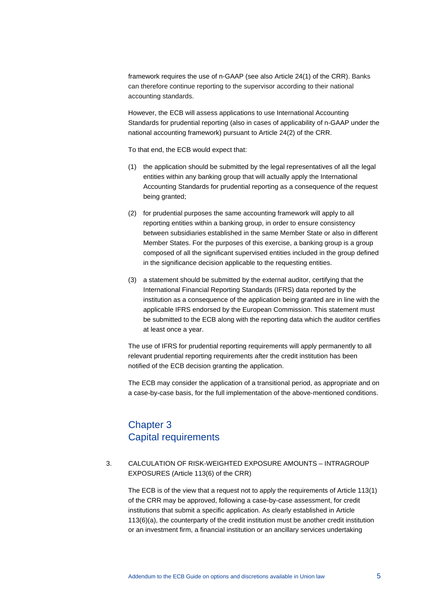framework requires the use of n-GAAP (see also Article 24(1) of the CRR). Banks can therefore continue reporting to the supervisor according to their national accounting standards.

However, the ECB will assess applications to use International Accounting Standards for prudential reporting (also in cases of applicability of n-GAAP under the national accounting framework) pursuant to Article 24(2) of the CRR.

To that end, the ECB would expect that:

- (1) the application should be submitted by the legal representatives of all the legal entities within any banking group that will actually apply the International Accounting Standards for prudential reporting as a consequence of the request being granted;
- (2) for prudential purposes the same accounting framework will apply to all reporting entities within a banking group, in order to ensure consistency between subsidiaries established in the same Member State or also in different Member States. For the purposes of this exercise, a banking group is a group composed of all the significant supervised entities included in the group defined in the significance decision applicable to the requesting entities.
- (3) a statement should be submitted by the external auditor, certifying that the International Financial Reporting Standards (IFRS) data reported by the institution as a consequence of the application being granted are in line with the applicable IFRS endorsed by the European Commission. This statement must be submitted to the ECB along with the reporting data which the auditor certifies at least once a year.

The use of IFRS for prudential reporting requirements will apply permanently to all relevant prudential reporting requirements after the credit institution has been notified of the ECB decision granting the application.

The ECB may consider the application of a transitional period, as appropriate and on a case-by-case basis, for the full implementation of the above-mentioned conditions.

## Chapter 3 Capital requirements

#### 3. CALCULATION OF RISK-WEIGHTED EXPOSURE AMOUNTS – INTRAGROUP EXPOSURES (Article 113(6) of the CRR)

The ECB is of the view that a request not to apply the requirements of Article 113(1) of the CRR may be approved, following a case-by-case assessment, for credit institutions that submit a specific application. As clearly established in Article 113(6)(a), the counterparty of the credit institution must be another credit institution or an investment firm, a financial institution or an ancillary services undertaking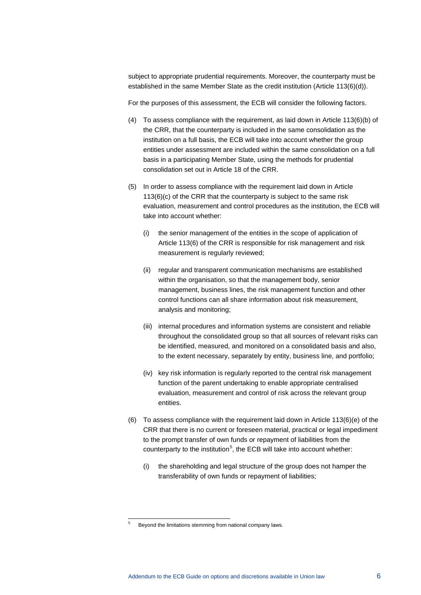subject to appropriate prudential requirements. Moreover, the counterparty must be established in the same Member State as the credit institution (Article 113(6)(d)).

For the purposes of this assessment, the ECB will consider the following factors.

- (4) To assess compliance with the requirement, as laid down in Article 113(6)(b) of the CRR, that the counterparty is included in the same consolidation as the institution on a full basis, the ECB will take into account whether the group entities under assessment are included within the same consolidation on a full basis in a participating Member State, using the methods for prudential consolidation set out in Article 18 of the CRR.
- (5) In order to assess compliance with the requirement laid down in Article 113(6)(c) of the CRR that the counterparty is subject to the same risk evaluation, measurement and control procedures as the institution, the ECB will take into account whether:
	- (i) the senior management of the entities in the scope of application of Article 113(6) of the CRR is responsible for risk management and risk measurement is regularly reviewed;
	- (ii) regular and transparent communication mechanisms are established within the organisation, so that the management body, senior management, business lines, the risk management function and other control functions can all share information about risk measurement, analysis and monitoring;
	- (iii) internal procedures and information systems are consistent and reliable throughout the consolidated group so that all sources of relevant risks can be identified, measured, and monitored on a consolidated basis and also, to the extent necessary, separately by entity, business line, and portfolio;
	- (iv) key risk information is regularly reported to the central risk management function of the parent undertaking to enable appropriate centralised evaluation, measurement and control of risk across the relevant group entities.
- (6) To assess compliance with the requirement laid down in Article 113(6)(e) of the CRR that there is no current or foreseen material, practical or legal impediment to the prompt transfer of own funds or repayment of liabilities from the counterparty to the institution<sup>[5](#page-6-0)</sup>, the ECB will take into account whether:
	- (i) the shareholding and legal structure of the group does not hamper the transferability of own funds or repayment of liabilities;

<span id="page-6-0"></span> <sup>5</sup> Beyond the limitations stemming from national company laws.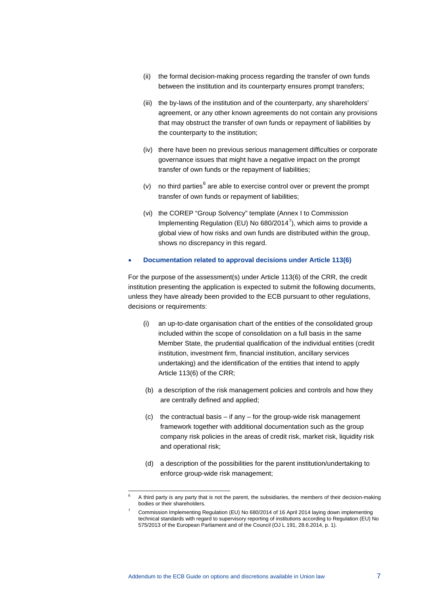- (ii) the formal decision-making process regarding the transfer of own funds between the institution and its counterparty ensures prompt transfers;
- (iii) the by-laws of the institution and of the counterparty, any shareholders' agreement, or any other known agreements do not contain any provisions that may obstruct the transfer of own funds or repayment of liabilities by the counterparty to the institution;
- (iv) there have been no previous serious management difficulties or corporate governance issues that might have a negative impact on the prompt transfer of own funds or the repayment of liabilities;
- (v) no third parties<sup>[6](#page-7-0)</sup> are able to exercise control over or prevent the prompt transfer of own funds or repayment of liabilities;
- (vi) the COREP "Group Solvency" template (Annex I to Commission Implementing Regulation (EU) No  $680/2014^7$  $680/2014^7$ ), which aims to provide a global view of how risks and own funds are distributed within the group, shows no discrepancy in this regard.

#### • **Documentation related to approval decisions under Article 113(6)**

For the purpose of the assessment(s) under Article 113(6) of the CRR, the credit institution presenting the application is expected to submit the following documents, unless they have already been provided to the ECB pursuant to other regulations, decisions or requirements:

- (i) an up-to-date organisation chart of the entities of the consolidated group included within the scope of consolidation on a full basis in the same Member State, the prudential qualification of the individual entities (credit institution, investment firm, financial institution, ancillary services undertaking) and the identification of the entities that intend to apply Article 113(6) of the CRR;
- (b) a description of the risk management policies and controls and how they are centrally defined and applied;
- (c) the contractual basis if any for the group-wide risk management framework together with additional documentation such as the group company risk policies in the areas of credit risk, market risk, liquidity risk and operational risk;
- (d) a description of the possibilities for the parent institution/undertaking to enforce group-wide risk management;

<span id="page-7-1"></span><span id="page-7-0"></span> <sup>6</sup> A third party is any party that is not the parent, the subsidiaries, the members of their decision-making bodies or their shareholders.

<sup>7</sup> Commission Implementing Regulation (EU) No 680/2014 of 16 April 2014 laying down implementing technical standards with regard to supervisory reporting of institutions according to Regulation (EU) No 575/2013 of the European Parliament and of the Council (OJ L 191, 28.6.2014, p. 1).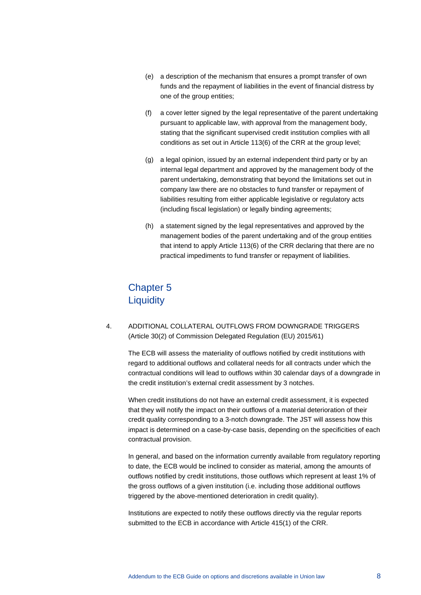- (e) a description of the mechanism that ensures a prompt transfer of own funds and the repayment of liabilities in the event of financial distress by one of the group entities;
- (f) a cover letter signed by the legal representative of the parent undertaking pursuant to applicable law, with approval from the management body, stating that the significant supervised credit institution complies with all conditions as set out in Article 113(6) of the CRR at the group level;
- (g) a legal opinion, issued by an external independent third party or by an internal legal department and approved by the management body of the parent undertaking, demonstrating that beyond the limitations set out in company law there are no obstacles to fund transfer or repayment of liabilities resulting from either applicable legislative or regulatory acts (including fiscal legislation) or legally binding agreements;
- (h) a statement signed by the legal representatives and approved by the management bodies of the parent undertaking and of the group entities that intend to apply Article 113(6) of the CRR declaring that there are no practical impediments to fund transfer or repayment of liabilities.

## Chapter 5 **Liquidity**

4. ADDITIONAL COLLATERAL OUTFLOWS FROM DOWNGRADE TRIGGERS (Article 30(2) of Commission Delegated Regulation (EU) 2015/61)

The ECB will assess the materiality of outflows notified by credit institutions with regard to additional outflows and collateral needs for all contracts under which the contractual conditions will lead to outflows within 30 calendar days of a downgrade in the credit institution's external credit assessment by 3 notches.

When credit institutions do not have an external credit assessment, it is expected that they will notify the impact on their outflows of a material deterioration of their credit quality corresponding to a 3-notch downgrade. The JST will assess how this impact is determined on a case-by-case basis, depending on the specificities of each contractual provision.

In general, and based on the information currently available from regulatory reporting to date, the ECB would be inclined to consider as material, among the amounts of outflows notified by credit institutions, those outflows which represent at least 1% of the gross outflows of a given institution (i.e. including those additional outflows triggered by the above-mentioned deterioration in credit quality).

Institutions are expected to notify these outflows directly via the regular reports submitted to the ECB in accordance with Article 415(1) of the CRR.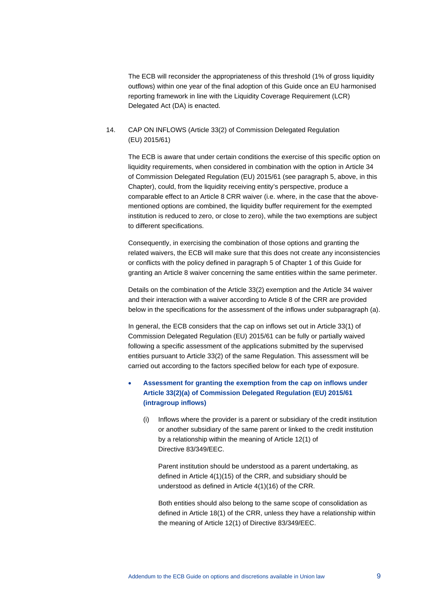The ECB will reconsider the appropriateness of this threshold (1% of gross liquidity outflows) within one year of the final adoption of this Guide once an EU harmonised reporting framework in line with the Liquidity Coverage Requirement (LCR) Delegated Act (DA) is enacted.

#### 14. CAP ON INFLOWS (Article 33(2) of Commission Delegated Regulation (EU) 2015/61)

The ECB is aware that under certain conditions the exercise of this specific option on liquidity requirements, when considered in combination with the option in Article 34 of Commission Delegated Regulation (EU) 2015/61 (see paragraph 5, above, in this Chapter), could, from the liquidity receiving entity's perspective, produce a comparable effect to an Article 8 CRR waiver (i.e. where, in the case that the abovementioned options are combined, the liquidity buffer requirement for the exempted institution is reduced to zero, or close to zero), while the two exemptions are subject to different specifications.

Consequently, in exercising the combination of those options and granting the related waivers, the ECB will make sure that this does not create any inconsistencies or conflicts with the policy defined in paragraph 5 of Chapter 1 of this Guide for granting an Article 8 waiver concerning the same entities within the same perimeter.

Details on the combination of the Article 33(2) exemption and the Article 34 waiver and their interaction with a waiver according to Article 8 of the CRR are provided below in the specifications for the assessment of the inflows under subparagraph (a).

In general, the ECB considers that the cap on inflows set out in Article 33(1) of Commission Delegated Regulation (EU) 2015/61 can be fully or partially waived following a specific assessment of the applications submitted by the supervised entities pursuant to Article 33(2) of the same Regulation. This assessment will be carried out according to the factors specified below for each type of exposure.

#### • **Assessment for granting the exemption from the cap on inflows under Article 33(2)(a) of Commission Delegated Regulation (EU) 2015/61 (intragroup inflows)**

(i) Inflows where the provider is a parent or subsidiary of the credit institution or another subsidiary of the same parent or linked to the credit institution by a relationship within the meaning of Article 12(1) of Directive 83/349/EEC.

Parent institution should be understood as a parent undertaking, as defined in Article 4(1)(15) of the CRR, and subsidiary should be understood as defined in Article 4(1)(16) of the CRR.

Both entities should also belong to the same scope of consolidation as defined in Article 18(1) of the CRR, unless they have a relationship within the meaning of Article 12(1) of Directive 83/349/EEC.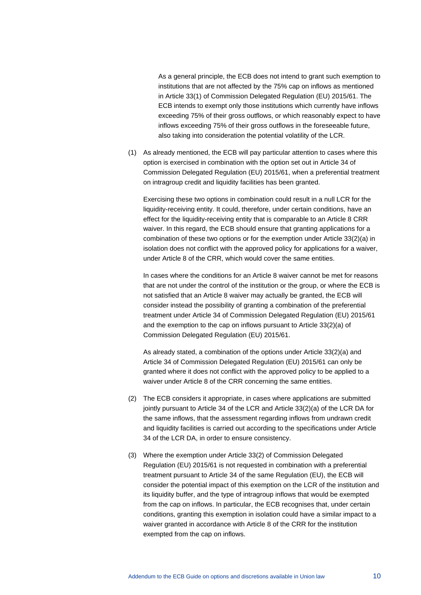As a general principle, the ECB does not intend to grant such exemption to institutions that are not affected by the 75% cap on inflows as mentioned in Article 33(1) of Commission Delegated Regulation (EU) 2015/61. The ECB intends to exempt only those institutions which currently have inflows exceeding 75% of their gross outflows, or which reasonably expect to have inflows exceeding 75% of their gross outflows in the foreseeable future, also taking into consideration the potential volatility of the LCR.

(1) As already mentioned, the ECB will pay particular attention to cases where this option is exercised in combination with the option set out in Article 34 of Commission Delegated Regulation (EU) 2015/61, when a preferential treatment on intragroup credit and liquidity facilities has been granted.

Exercising these two options in combination could result in a null LCR for the liquidity-receiving entity. It could, therefore, under certain conditions, have an effect for the liquidity-receiving entity that is comparable to an Article 8 CRR waiver. In this regard, the ECB should ensure that granting applications for a combination of these two options or for the exemption under Article 33(2)(a) in isolation does not conflict with the approved policy for applications for a waiver, under Article 8 of the CRR, which would cover the same entities.

In cases where the conditions for an Article 8 waiver cannot be met for reasons that are not under the control of the institution or the group, or where the ECB is not satisfied that an Article 8 waiver may actually be granted, the ECB will consider instead the possibility of granting a combination of the preferential treatment under Article 34 of Commission Delegated Regulation (EU) 2015/61 and the exemption to the cap on inflows pursuant to Article 33(2)(a) of Commission Delegated Regulation (EU) 2015/61.

As already stated, a combination of the options under Article 33(2)(a) and Article 34 of Commission Delegated Regulation (EU) 2015/61 can only be granted where it does not conflict with the approved policy to be applied to a waiver under Article 8 of the CRR concerning the same entities.

- (2) The ECB considers it appropriate, in cases where applications are submitted jointly pursuant to Article 34 of the LCR and Article 33(2)(a) of the LCR DA for the same inflows, that the assessment regarding inflows from undrawn credit and liquidity facilities is carried out according to the specifications under Article 34 of the LCR DA, in order to ensure consistency.
- (3) Where the exemption under Article 33(2) of Commission Delegated Regulation (EU) 2015/61 is not requested in combination with a preferential treatment pursuant to Article 34 of the same Regulation (EU), the ECB will consider the potential impact of this exemption on the LCR of the institution and its liquidity buffer, and the type of intragroup inflows that would be exempted from the cap on inflows. In particular, the ECB recognises that, under certain conditions, granting this exemption in isolation could have a similar impact to a waiver granted in accordance with Article 8 of the CRR for the institution exempted from the cap on inflows.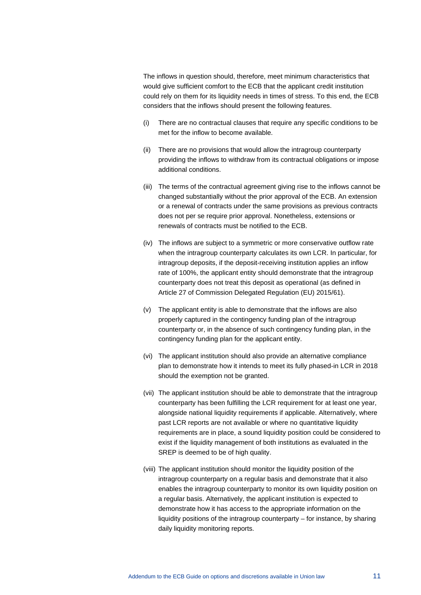The inflows in question should, therefore, meet minimum characteristics that would give sufficient comfort to the ECB that the applicant credit institution could rely on them for its liquidity needs in times of stress. To this end, the ECB considers that the inflows should present the following features.

- (i) There are no contractual clauses that require any specific conditions to be met for the inflow to become available.
- (ii) There are no provisions that would allow the intragroup counterparty providing the inflows to withdraw from its contractual obligations or impose additional conditions.
- (iii) The terms of the contractual agreement giving rise to the inflows cannot be changed substantially without the prior approval of the ECB. An extension or a renewal of contracts under the same provisions as previous contracts does not per se require prior approval. Nonetheless, extensions or renewals of contracts must be notified to the ECB.
- (iv) The inflows are subject to a symmetric or more conservative outflow rate when the intragroup counterparty calculates its own LCR. In particular, for intragroup deposits, if the deposit-receiving institution applies an inflow rate of 100%, the applicant entity should demonstrate that the intragroup counterparty does not treat this deposit as operational (as defined in Article 27 of Commission Delegated Regulation (EU) 2015/61).
- (v) The applicant entity is able to demonstrate that the inflows are also properly captured in the contingency funding plan of the intragroup counterparty or, in the absence of such contingency funding plan, in the contingency funding plan for the applicant entity.
- (vi) The applicant institution should also provide an alternative compliance plan to demonstrate how it intends to meet its fully phased-in LCR in 2018 should the exemption not be granted.
- (vii) The applicant institution should be able to demonstrate that the intragroup counterparty has been fulfilling the LCR requirement for at least one year, alongside national liquidity requirements if applicable. Alternatively, where past LCR reports are not available or where no quantitative liquidity requirements are in place, a sound liquidity position could be considered to exist if the liquidity management of both institutions as evaluated in the SREP is deemed to be of high quality.
- (viii) The applicant institution should monitor the liquidity position of the intragroup counterparty on a regular basis and demonstrate that it also enables the intragroup counterparty to monitor its own liquidity position on a regular basis. Alternatively, the applicant institution is expected to demonstrate how it has access to the appropriate information on the liquidity positions of the intragroup counterparty – for instance, by sharing daily liquidity monitoring reports.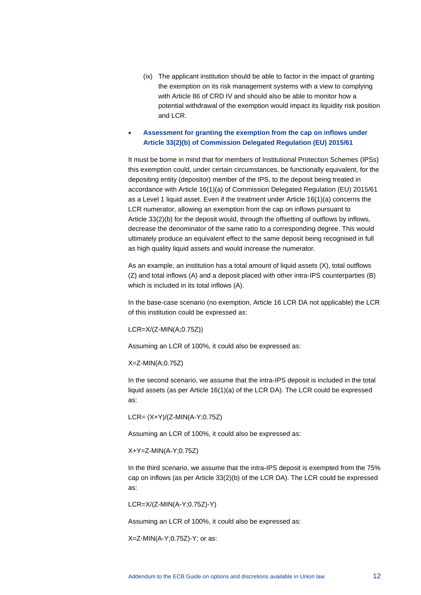(ix) The applicant institution should be able to factor in the impact of granting the exemption on its risk management systems with a view to complying with Article 86 of CRD IV and should also be able to monitor how a potential withdrawal of the exemption would impact its liquidity risk position and LCR.

#### • **Assessment for granting the exemption from the cap on inflows under Article 33(2)(b) of Commission Delegated Regulation (EU) 2015/61**

It must be borne in mind that for members of Institutional Protection Schemes (IPSs) this exemption could, under certain circumstances, be functionally equivalent, for the depositing entity (depositor) member of the IPS, to the deposit being treated in accordance with Article 16(1)(a) of Commission Delegated Regulation (EU) 2015/61 as a Level 1 liquid asset. Even if the treatment under Article 16(1)(a) concerns the LCR numerator, allowing an exemption from the cap on inflows pursuant to Article 33(2)(b) for the deposit would, through the offsetting of outflows by inflows, decrease the denominator of the same ratio to a corresponding degree. This would ultimately produce an equivalent effect to the same deposit being recognised in full as high quality liquid assets and would increase the numerator.

As an example, an institution has a total amount of liquid assets (X), total outflows (Z) and total inflows (A) and a deposit placed with other intra-IPS counterparties (B) which is included in its total inflows (A).

In the base-case scenario (no exemption, Article 16 LCR DA not applicable) the LCR of this institution could be expressed as:

LCR=X/(Z-MIN(A;0.75Z))

Assuming an LCR of 100%, it could also be expressed as:

X=Z-MIN(A;0.75Z)

In the second scenario, we assume that the intra-IPS deposit is included in the total liquid assets (as per Article 16(1)(a) of the LCR DA). The LCR could be expressed as:

LCR= (X+Y)/(Z-MIN(A-Y;0.75Z)

Assuming an LCR of 100%, it could also be expressed as:

X+Y=Z-MIN(A-Y;0.75Z)

In the third scenario, we assume that the intra-IPS deposit is exempted from the 75% cap on inflows (as per Article 33(2)(b) of the LCR DA). The LCR could be expressed as:

LCR=X/(Z-MIN(A-Y;0.75Z)-Y)

Assuming an LCR of 100%, it could also be expressed as:

X=Z-MIN(A-Y;0.75Z)-Y; or as: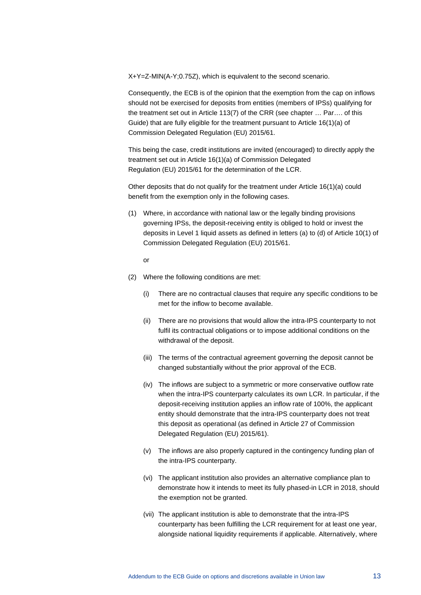X+Y=Z-MIN(A-Y;0.75Z), which is equivalent to the second scenario.

Consequently, the ECB is of the opinion that the exemption from the cap on inflows should not be exercised for deposits from entities (members of IPSs) qualifying for the treatment set out in Article 113(7) of the CRR (see chapter … Par…. of this Guide) that are fully eligible for the treatment pursuant to Article 16(1)(a) of Commission Delegated Regulation (EU) 2015/61.

This being the case, credit institutions are invited (encouraged) to directly apply the treatment set out in Article 16(1)(a) of Commission Delegated Regulation (EU) 2015/61 for the determination of the LCR.

Other deposits that do not qualify for the treatment under Article 16(1)(a) could benefit from the exemption only in the following cases.

(1) Where, in accordance with national law or the legally binding provisions governing IPSs, the deposit-receiving entity is obliged to hold or invest the deposits in Level 1 liquid assets as defined in letters (a) to (d) of Article 10(1) of Commission Delegated Regulation (EU) 2015/61.

or

- (2) Where the following conditions are met:
	- (i) There are no contractual clauses that require any specific conditions to be met for the inflow to become available.
	- (ii) There are no provisions that would allow the intra-IPS counterparty to not fulfil its contractual obligations or to impose additional conditions on the withdrawal of the deposit.
	- (iii) The terms of the contractual agreement governing the deposit cannot be changed substantially without the prior approval of the ECB.
	- (iv) The inflows are subject to a symmetric or more conservative outflow rate when the intra-IPS counterparty calculates its own LCR. In particular, if the deposit-receiving institution applies an inflow rate of 100%, the applicant entity should demonstrate that the intra-IPS counterparty does not treat this deposit as operational (as defined in Article 27 of Commission Delegated Regulation (EU) 2015/61).
	- (v) The inflows are also properly captured in the contingency funding plan of the intra-IPS counterparty.
	- (vi) The applicant institution also provides an alternative compliance plan to demonstrate how it intends to meet its fully phased-in LCR in 2018, should the exemption not be granted.
	- (vii) The applicant institution is able to demonstrate that the intra-IPS counterparty has been fulfilling the LCR requirement for at least one year, alongside national liquidity requirements if applicable. Alternatively, where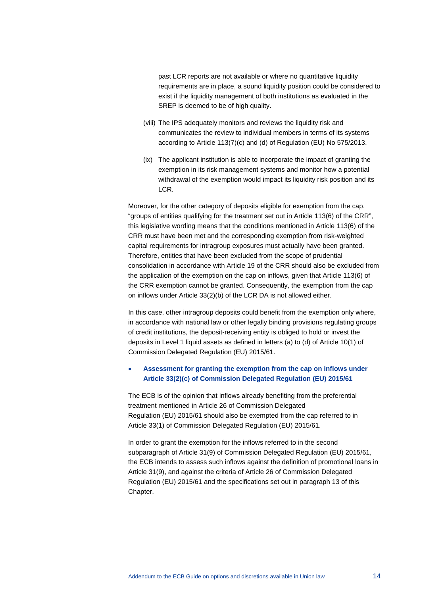past LCR reports are not available or where no quantitative liquidity requirements are in place, a sound liquidity position could be considered to exist if the liquidity management of both institutions as evaluated in the SREP is deemed to be of high quality.

- (viii) The IPS adequately monitors and reviews the liquidity risk and communicates the review to individual members in terms of its systems according to Article 113(7)(c) and (d) of Regulation (EU) No 575/2013.
- (ix) The applicant institution is able to incorporate the impact of granting the exemption in its risk management systems and monitor how a potential withdrawal of the exemption would impact its liquidity risk position and its LCR.

Moreover, for the other category of deposits eligible for exemption from the cap, "groups of entities qualifying for the treatment set out in Article 113(6) of the CRR", this legislative wording means that the conditions mentioned in Article 113(6) of the CRR must have been met and the corresponding exemption from risk-weighted capital requirements for intragroup exposures must actually have been granted. Therefore, entities that have been excluded from the scope of prudential consolidation in accordance with Article 19 of the CRR should also be excluded from the application of the exemption on the cap on inflows, given that Article 113(6) of the CRR exemption cannot be granted. Consequently, the exemption from the cap on inflows under Article 33(2)(b) of the LCR DA is not allowed either.

In this case, other intragroup deposits could benefit from the exemption only where, in accordance with national law or other legally binding provisions regulating groups of credit institutions, the deposit-receiving entity is obliged to hold or invest the deposits in Level 1 liquid assets as defined in letters (a) to (d) of Article 10(1) of Commission Delegated Regulation (EU) 2015/61.

#### • **Assessment for granting the exemption from the cap on inflows under Article 33(2)(c) of Commission Delegated Regulation (EU) 2015/61**

The ECB is of the opinion that inflows already benefiting from the preferential treatment mentioned in Article 26 of Commission Delegated Regulation (EU) 2015/61 should also be exempted from the cap referred to in Article 33(1) of Commission Delegated Regulation (EU) 2015/61.

In order to grant the exemption for the inflows referred to in the second subparagraph of Article 31(9) of Commission Delegated Regulation (EU) 2015/61, the ECB intends to assess such inflows against the definition of promotional loans in Article 31(9), and against the criteria of Article 26 of Commission Delegated Regulation (EU) 2015/61 and the specifications set out in paragraph 13 of this Chapter.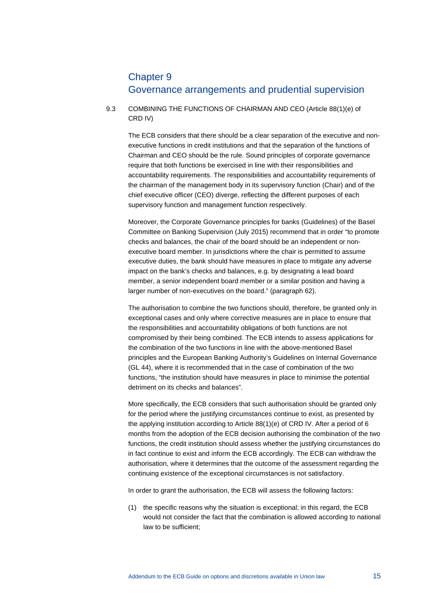### Chapter 9 Governance arrangements and prudential supervision

#### 9.3 COMBINING THE FUNCTIONS OF CHAIRMAN AND CEO (Article 88(1)(e) of CRD IV)

The ECB considers that there should be a clear separation of the executive and nonexecutive functions in credit institutions and that the separation of the functions of Chairman and CEO should be the rule. Sound principles of corporate governance require that both functions be exercised in line with their responsibilities and accountability requirements. The responsibilities and accountability requirements of the chairman of the management body in its supervisory function (Chair) and of the chief executive officer (CEO) diverge, reflecting the different purposes of each supervisory function and management function respectively.

Moreover, the Corporate Governance principles for banks (Guidelines) of the Basel Committee on Banking Supervision (July 2015) recommend that in order "to promote checks and balances, the chair of the board should be an independent or nonexecutive board member. In jurisdictions where the chair is permitted to assume executive duties, the bank should have measures in place to mitigate any adverse impact on the bank's checks and balances, e.g. by designating a lead board member, a senior independent board member or a similar position and having a larger number of non-executives on the board." (paragraph 62).

The authorisation to combine the two functions should, therefore, be granted only in exceptional cases and only where corrective measures are in place to ensure that the responsibilities and accountability obligations of both functions are not compromised by their being combined. The ECB intends to assess applications for the combination of the two functions in line with the above-mentioned Basel principles and the European Banking Authority's Guidelines on Internal Governance (GL 44), where it is recommended that in the case of combination of the two functions, "the institution should have measures in place to minimise the potential detriment on its checks and balances".

More specifically, the ECB considers that such authorisation should be granted only for the period where the justifying circumstances continue to exist, as presented by the applying institution according to Article 88(1)(e) of CRD IV. After a period of 6 months from the adoption of the ECB decision authorising the combination of the two functions, the credit institution should assess whether the justifying circumstances do in fact continue to exist and inform the ECB accordingly. The ECB can withdraw the authorisation, where it determines that the outcome of the assessment regarding the continuing existence of the exceptional circumstances is not satisfactory.

In order to grant the authorisation, the ECB will assess the following factors:

(1) the specific reasons why the situation is exceptional; in this regard, the ECB would not consider the fact that the combination is allowed according to national law to be sufficient;